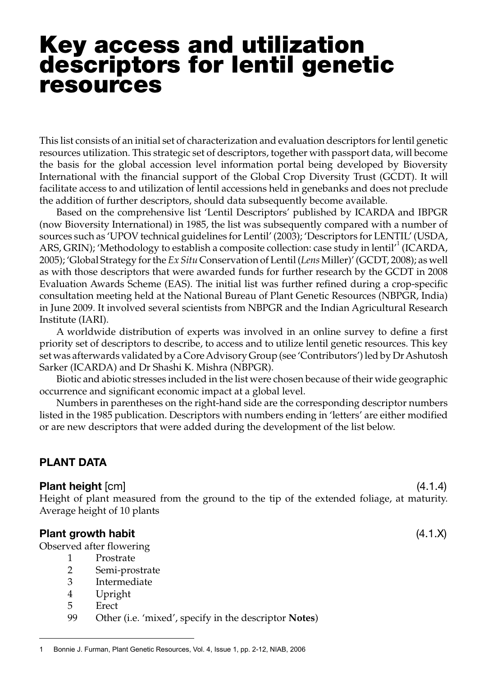# Key access and utilization descriptors for lentil genetic resources

This list consists of an initial set of characterization and evaluation descriptors for lentil genetic resources utilization. This strategic set of descriptors, together with passport data, will become the basis for the global accession level information portal being developed by Bioversity International with the financial support of the Global Crop Diversity Trust (GCDT). It will facilitate access to and utilization of lentil accessions held in genebanks and does not preclude the addition of further descriptors, should data subsequently become available.

Based on the comprehensive list 'Lentil Descriptors' published by ICARDA and IBPGR (now Bioversity International) in 1985, the list was subsequently compared with a number of sources such as 'UPOV technical guidelines for Lentil' (2003); 'Descriptors for LENTIL' (USDA, ARS, GRIN); 'Methodology to establish a composite collection: case study in lentil<sup>11</sup> (ICARDA, 2005); 'Global Strategy for the *Ex Situ* Conservation of Lentil (*Lens* Miller)' (GCDT, 2008); as well as with those descriptors that were awarded funds for further research by the GCDT in 2008 Evaluation Awards Scheme (EAS). The initial list was further refined during a crop-specific consultation meeting held at the National Bureau of Plant Genetic Resources (NBPGR, India) in June 2009. It involved several scientists from NBPGR and the Indian Agricultural Research Institute (IARI).

A worldwide distribution of experts was involved in an online survey to define a first priority set of descriptors to describe, to access and to utilize lentil genetic resources. This key set was afterwards validated by a Core Advisory Group (see 'Contributors') led by Dr Ashutosh Sarker (ICARDA) and Dr Shashi K. Mishra (NBPGR).

Biotic and abiotic stresses included in the list were chosen because of their wide geographic occurrence and significant economic impact at a global level.

Numbers in parentheses on the right-hand side are the corresponding descriptor numbers listed in the 1985 publication. Descriptors with numbers ending in 'letters' are either modified or are new descriptors that were added during the development of the list below.

# PLANT DATA

#### Plant height [cm] (4.1.4)

Height of plant measured from the ground to the tip of the extended foliage, at maturity. Average height of 10 plants

#### Plant growth habit (4.1.X)

Observed after flowering

- 1 Prostrate
- 2 Semi-prostrate
- 3 Intermediate
- 4 Upright
- 5 Erect
- 99 Other (i.e. 'mixed', specify in the descriptor **Notes**)

<sup>1</sup> Bonnie J. Furman, Plant Genetic Resources, Vol. 4, Issue 1, pp. 2-12, NIAB, 2006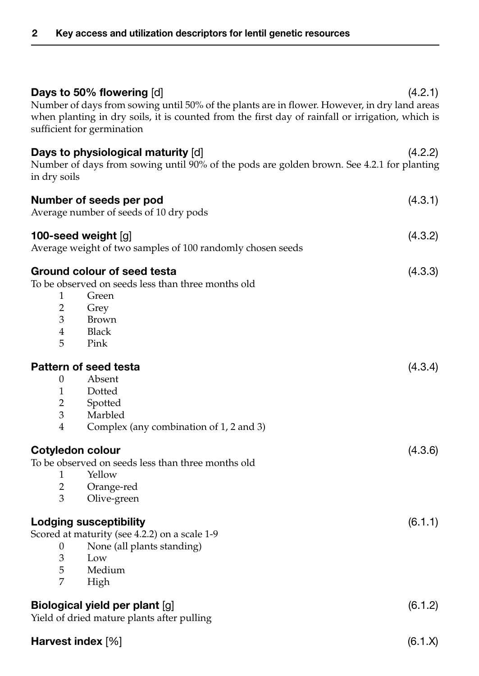| Days to 50% flowering [d]<br>Number of days from sowing until 50% of the plants are in flower. However, in dry land areas<br>when planting in dry soils, it is counted from the first day of rainfall or irrigation, which is<br>sufficient for germination | (4.2.1) |
|-------------------------------------------------------------------------------------------------------------------------------------------------------------------------------------------------------------------------------------------------------------|---------|
| Days to physiological maturity [d]<br>Number of days from sowing until 90% of the pods are golden brown. See 4.2.1 for planting<br>in dry soils                                                                                                             | (4.2.2) |
| Number of seeds per pod<br>Average number of seeds of 10 dry pods                                                                                                                                                                                           | (4.3.1) |
| 100-seed weight $[g]$<br>Average weight of two samples of 100 randomly chosen seeds                                                                                                                                                                         | (4.3.2) |
| Ground colour of seed testa<br>To be observed on seeds less than three months old<br>1<br>Green<br>$\overline{2}$<br>Grey<br>3<br>Brown<br>$\overline{4}$<br><b>Black</b><br>5<br>Pink                                                                      | (4.3.3) |
| Pattern of seed testa<br>Absent<br>0<br>$\mathbf{1}$<br>Dotted<br>$\overline{2}$<br>Spotted<br>3<br>Marbled                                                                                                                                                 | (4.3.4) |
| $\overline{4}$<br>Complex (any combination of 1, 2 and 3)<br><b>Cotyledon colour</b><br>To be observed on seeds less than three months old                                                                                                                  | (4.3.6) |
| Yellow<br>1<br>$\overline{2}$<br>Orange-red<br>3<br>Olive-green                                                                                                                                                                                             |         |
| <b>Lodging susceptibility</b><br>Scored at maturity (see 4.2.2) on a scale 1-9<br>None (all plants standing)<br>0<br>3<br>Low<br>5<br>Medium<br>7<br>High                                                                                                   | (6.1.1) |
| Biological yield per plant [g]<br>Yield of dried mature plants after pulling                                                                                                                                                                                | (6.1.2) |
| Harvest index [%]                                                                                                                                                                                                                                           | (6.1.X) |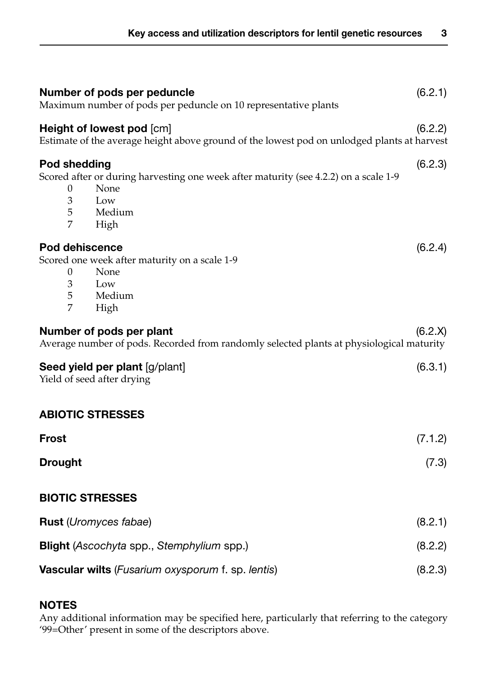| Number of pods per peduncle<br>Maximum number of pods per peduncle on 10 representative plants                                  |                                                                                                                          | (6.2.1) |
|---------------------------------------------------------------------------------------------------------------------------------|--------------------------------------------------------------------------------------------------------------------------|---------|
|                                                                                                                                 | Height of lowest pod [cm]<br>Estimate of the average height above ground of the lowest pod on unlodged plants at harvest | (6.2.2) |
| Pod shedding<br>0<br>3<br>5<br>7                                                                                                | Scored after or during harvesting one week after maturity (see 4.2.2) on a scale 1-9<br>None<br>Low<br>Medium<br>High    | (6.2.3) |
| <b>Pod dehiscence</b><br>0<br>3<br>5<br>7                                                                                       | Scored one week after maturity on a scale 1-9<br>None<br>Low<br>Medium<br>High                                           | (6.2.4) |
| Number of pods per plant<br>(6.2.X)<br>Average number of pods. Recorded from randomly selected plants at physiological maturity |                                                                                                                          |         |
|                                                                                                                                 | Seed yield per plant [g/plant]<br>Yield of seed after drying                                                             | (6.3.1) |
| <b>ABIOTIC STRESSES</b>                                                                                                         |                                                                                                                          |         |
| <b>Frost</b>                                                                                                                    |                                                                                                                          | (7.1.2) |
| <b>Drought</b>                                                                                                                  |                                                                                                                          | (7.3)   |
| <b>BIOTIC STRESSES</b>                                                                                                          |                                                                                                                          |         |
|                                                                                                                                 | <b>Rust</b> ( <i>Uromyces fabae</i> )                                                                                    | (8.2.1) |
|                                                                                                                                 | <b>Blight</b> (Ascochyta spp., Stemphylium spp.)                                                                         | (8.2.2) |
|                                                                                                                                 | <b>Vascular wilts</b> ( <i>Fusarium oxysporum</i> f. sp. lentis)                                                         | (8.2.3) |

# **NOTES**

Any additional information may be specified here, particularly that referring to the category '99=Other' present in some of the descriptors above.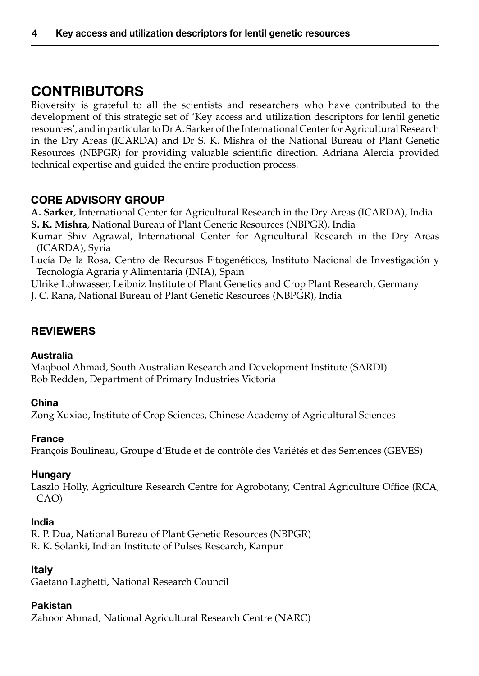# **CONTRIBUTORS**

Bioversity is grateful to all the scientists and researchers who have contributed to the development of this strategic set of 'Key access and utilization descriptors for lentil genetic resources', and in particular to Dr A. Sarker of the International Center for Agricultural Research in the Dry Areas (ICARDA) and Dr S. K. Mishra of the National Bureau of Plant Genetic Resources (NBPGR) for providing valuable scientific direction. Adriana Alercia provided technical expertise and guided the entire production process.

# Core Advisory Group

**A. Sarker**, International Center for Agricultural Research in the Dry Areas (ICARDA), India **S. K. Mishra**, National Bureau of Plant Genetic Resources (NBPGR), India

Kumar Shiv Agrawal, International Center for Agricultural Research in the Dry Areas (ICARDA), Syria

Lucía De la Rosa, Centro de Recursos Fitogenéticos, Instituto Nacional de Investigación y Tecnología Agraria y Alimentaria (INIA), Spain

Ulrike Lohwasser, Leibniz Institute of Plant Genetics and Crop Plant Research, Germany J. C. Rana, National Bureau of Plant Genetic Resources (NBPGR), India

# **REVIEWERS**

#### Australia

Maqbool Ahmad, South Australian Research and Development Institute (SARDI) Bob Redden, Department of Primary Industries Victoria

#### China

Zong Xuxiao, Institute of Crop Sciences, Chinese Academy of Agricultural Sciences

#### France

François Boulineau, Groupe d'Etude et de contrôle des Variétés et des Semences (GEVES)

# **Hungary**

Laszlo Holly, Agriculture Research Centre for Agrobotany, Central Agriculture Office (RCA, CAO)

#### India

R. P. Dua, National Bureau of Plant Genetic Resources (NBPGR) R. K. Solanki, Indian Institute of Pulses Research, Kanpur

# Italy

Gaetano Laghetti, National Research Council

#### Pakistan

Zahoor Ahmad, National Agricultural Research Centre (NARC)